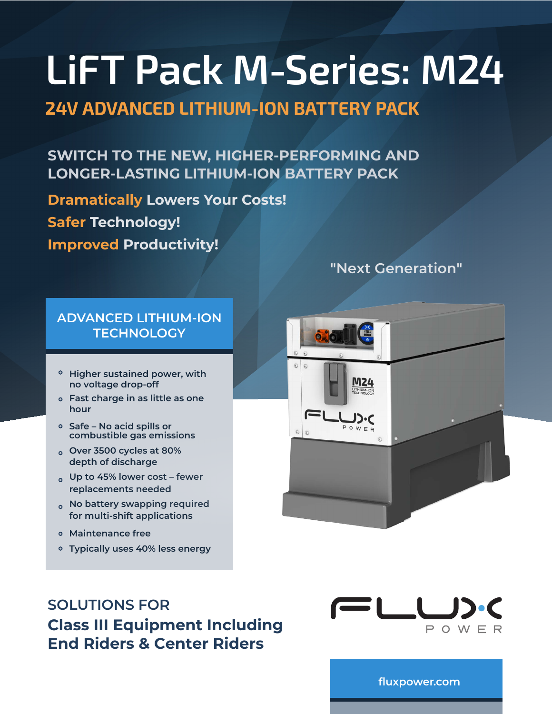# **24V ADVANCED LITHIUM-ION BATTERY PACK**

**SWITCH TO THE NEW, HIGHER-PERFORMING AND LONGER-LASTING LITHIUM-ION BATTERY PACK**

**Dramatically Lowers Your Costs! Safer Technology! Improved Productivity!** 

## **ADVANCED LITHIUM-ION TECHNOLOGY**

- **Higher sustained power, with no voltage drop-off**
- **Fast charge in as little as one hour**
- **Safe No acid spills or combustible gas emissions**
- **Over 3500 cycles at 80% depth of discharge**
- **Up to 45% lower cost fewer replacements needed**
- **No battery swapping required for multi-shift applications**
- **Maintenance free**
- **Typically uses 40% less energy**

# **"Next Generation"**



# **SOLUTIONS FOR Class III Equipment Including End Riders & Center Riders**



**[fluxpower.com](https://www.fluxpower.com)**